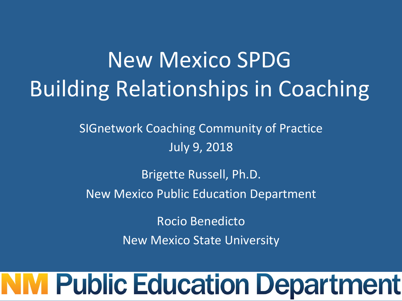## New Mexico SPDG **Building Relationships in Coaching**

SIGnetwork Coaching Community of Practice July 9, 2018

Brigette Russell, Ph.D. New Mexico Public Education Department

> Rocio Benedicto **New Mexico State University**

# **Public Education Department**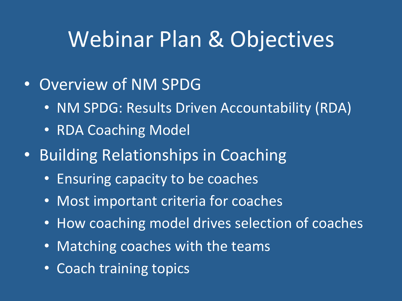#### Webinar Plan & Objectives

- Overview of NM SPDG
	- NM SPDG: Results Driven Accountability (RDA)
	- RDA Coaching Model
- Building Relationships in Coaching
	- Ensuring capacity to be coaches
	- Most important criteria for coaches
	- How coaching model drives selection of coaches
	- Matching coaches with the teams
	- Coach training topics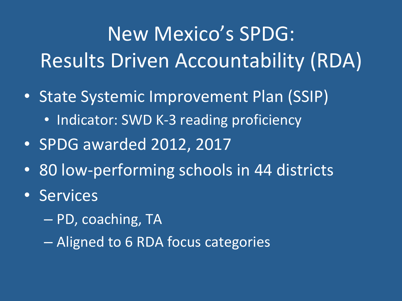#### New Mexico's SPDG: Results Driven Accountability (RDA)

- State Systemic Improvement Plan (SSIP)
	- Indicator: SWD K-3 reading proficiency
- SPDG awarded 2012, 2017
- 80 low-performing schools in 44 districts
- Services
	- $-$  PD, coaching, TA
	- Aligned to 6 RDA focus categories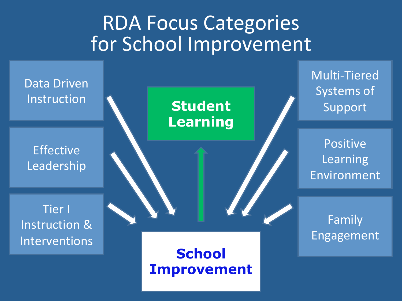#### **RDA Focus Categories** for School Improvement

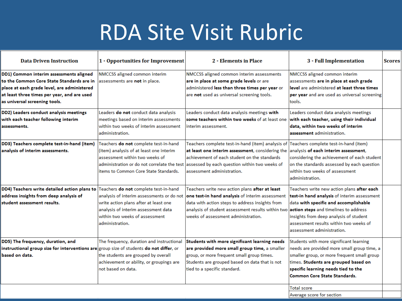#### RDA Site Visit Rubric

| <b>Data Driven Instruction</b>                                                                                                                                                                                      | 1 - Opportunities for Improvement                                                                                                                                                                          | 2 - Elements in Place                                                                                                                                                                                                                                                       | 3 - Full Implementation                                                                                                                                                                                                                                                                       | <b>Scores</b> |
|---------------------------------------------------------------------------------------------------------------------------------------------------------------------------------------------------------------------|------------------------------------------------------------------------------------------------------------------------------------------------------------------------------------------------------------|-----------------------------------------------------------------------------------------------------------------------------------------------------------------------------------------------------------------------------------------------------------------------------|-----------------------------------------------------------------------------------------------------------------------------------------------------------------------------------------------------------------------------------------------------------------------------------------------|---------------|
| DD1) Common interim assessments aligned<br>to the Common Core State Standards are in<br>place at each grade level, are administered<br>at least three times per year, and are used<br>as universal screening tools. | NMCCSS aligned common interim<br>assessments are not in place.                                                                                                                                             | NMCCSS aligned common interim assessments<br>are in place at some grade levels or are<br>administered less than three times per year or<br>are not used as universal screening tools.                                                                                       | NMCCSS aligned common interim<br>assessments are in place at each grade<br>level are administered at least three times<br>per year and are used as universal screening<br>ltools.                                                                                                             |               |
| DD2) Leaders conduct analysis meetings<br>with each teacher following interim<br>assessments.                                                                                                                       | Leaders do not conduct data analysis<br>meetings based on interim assessments<br>within two weeks of interim assessment<br>administration.                                                                 | Leaders conduct data analysis meetings with<br>some teachers within two weeks of at least one<br>interim assessment.                                                                                                                                                        | Leaders conduct data analysis meetings<br>with each teacher, using their individual<br>data, within two weeks of interim<br>assessment administration.                                                                                                                                        |               |
| DD3) Teachers complete test-in-hand (item)<br>analysis of interim assessments.                                                                                                                                      | Teachers do not complete test-in-hand<br>(item) analysis of at least one interim<br>assessment within two weeks of<br>administration or do not correlate the test<br>items to Common Core State Standards. | Teachers complete test-in-hand (item) analysis of Teachers complete test-in-hand (item)<br>at least one interim assessment, considering the<br>achievement of each student on the standards<br>assessed by each question within two weeks of<br>lassessment administration. | analysis of each interim assessment,<br>considering the achievement of each student<br>on the standards assessed by each question<br>within two weeks of assessment<br>administration.                                                                                                        |               |
| DD4) Teachers write detailed action plans to Teachers do not complete test-in-hand<br>address insights from deep analysis of<br>student assessment results.                                                         | analysis of interim assessments or do not<br>write action plans after at least one<br>analysis of interim assessment data<br>within two weeks of assessment<br>administration.                             | Teachers write new action plans after at least<br>one test-in hand analysis of interim assessment<br>data with action steps to address insights from<br>analysis of student assessment results within two<br>weeks of assessment administration.                            | Teachers write new action plans after each<br>test-in hand analysis of interim assessment<br>data with specific and accomplishable<br>action steps and timelines to address<br>insights from deep analysis of student<br>assessment results within two weeks of<br>assessment administration. |               |
| DD5) The frequency, duration, and<br>instructional group size for interventions are $ $ group size of students do not differ, or<br>based on data.                                                                  | The frequency, duration and instructional<br>the students are grouped by overall<br>achievement or ability, or groupings are<br>not based on data.                                                         | Students with more significant learning needs<br>are provided more small group time, a smaller<br>group, or more frequent small group times.<br>Students are grouped based on data that is not<br>tied to a specific standard.                                              | Students with more significant learning<br>needs are provided more small group time, a<br>smaller group, or more frequent small group<br>times. Students are grouped based on<br>specific learning needs tied to the<br><b>Common Core State Standards.</b>                                   |               |
|                                                                                                                                                                                                                     |                                                                                                                                                                                                            |                                                                                                                                                                                                                                                                             | Total score<br>Average score for section                                                                                                                                                                                                                                                      |               |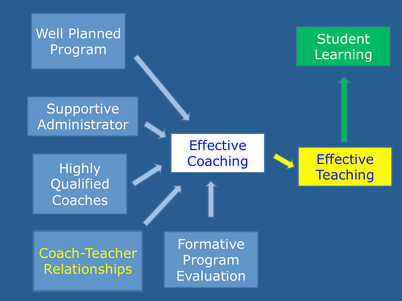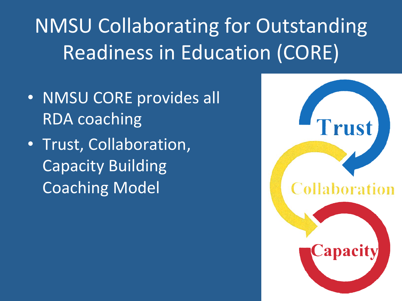### **NMSU Collaborating for Outstanding** Readiness in Education (CORE)

- NMSU CORE provides all **RDA** coaching
- Trust, Collaboration, Capacity Building **Coaching Model**

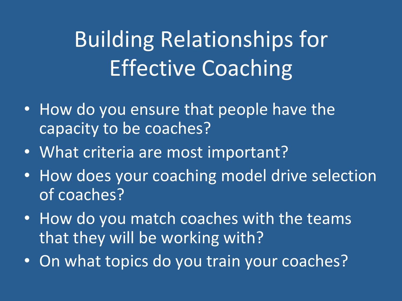## **Building Relationships for Effective Coaching**

- How do you ensure that people have the capacity to be coaches?
- What criteria are most important?
- How does your coaching model drive selection of coaches?
- How do you match coaches with the teams that they will be working with?
- On what topics do you train your coaches?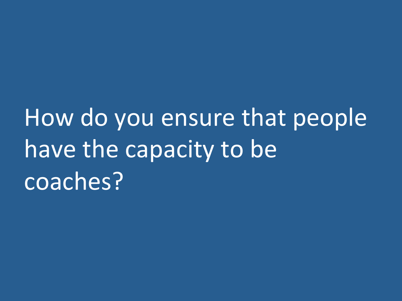How do you ensure that people have the capacity to be coaches?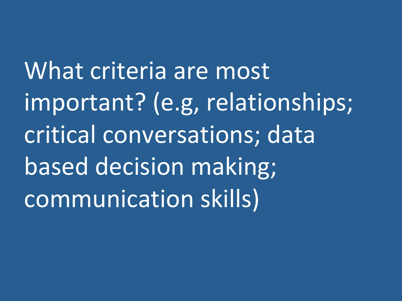What criteria are most important? (e.g, relationships; critical conversations; data based decision making; communication skills)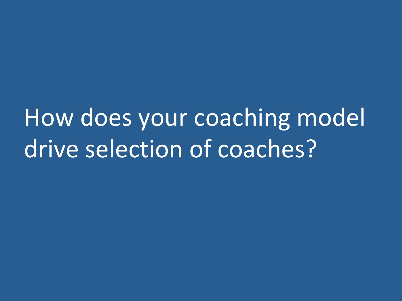How does your coaching model drive selection of coaches?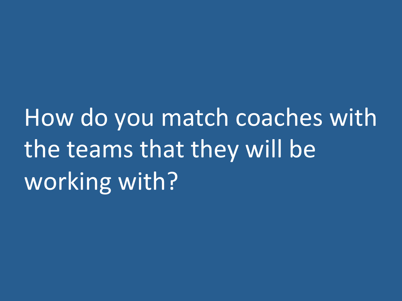How do you match coaches with the teams that they will be working with?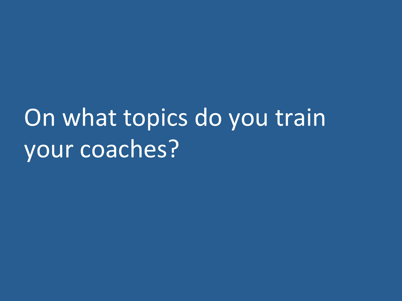# On what topics do you train your coaches?